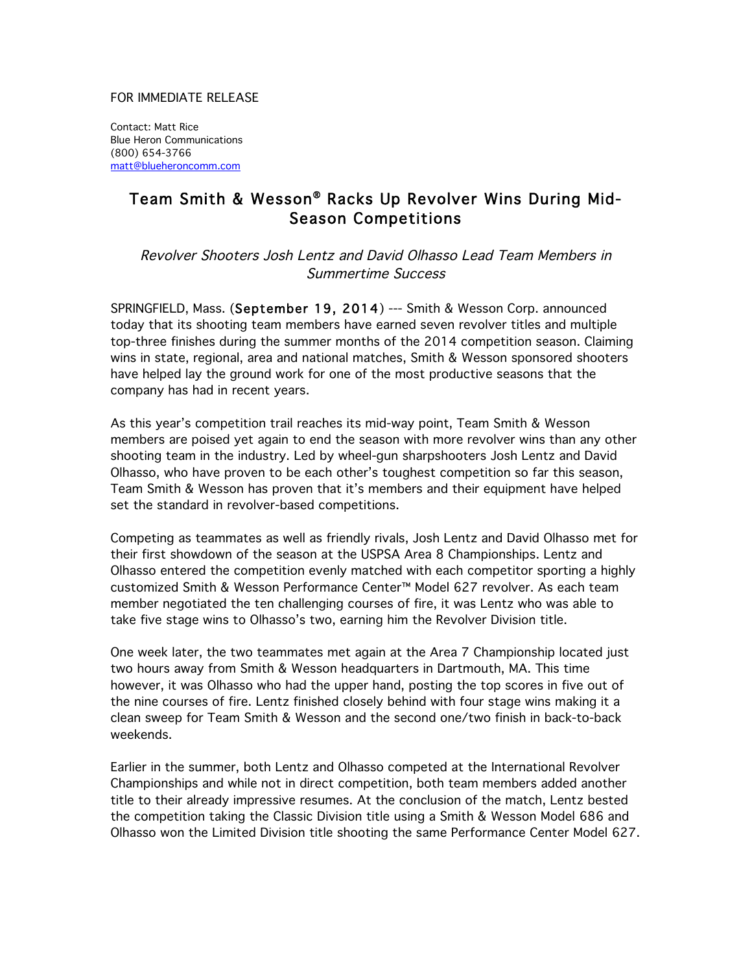## FOR IMMEDIATE RELEASE

Contact: Matt Rice Blue Heron Communications (800) 654-3766 matt@blueheroncomm.com

## Team Smith & Wesson® Racks Up Revolver Wins During Mid-Season Competitions

Revolver Shooters Josh Lentz and David Olhasso Lead Team Members in Summertime Success

SPRINGFIELD, Mass. (September 19, 2014) --- Smith & Wesson Corp. announced today that its shooting team members have earned seven revolver titles and multiple top-three finishes during the summer months of the 2014 competition season. Claiming wins in state, regional, area and national matches, Smith & Wesson sponsored shooters have helped lay the ground work for one of the most productive seasons that the company has had in recent years.

As this year's competition trail reaches its mid-way point, Team Smith & Wesson members are poised yet again to end the season with more revolver wins than any other shooting team in the industry. Led by wheel-gun sharpshooters Josh Lentz and David Olhasso, who have proven to be each other's toughest competition so far this season, Team Smith & Wesson has proven that it's members and their equipment have helped set the standard in revolver-based competitions.

Competing as teammates as well as friendly rivals, Josh Lentz and David Olhasso met for their first showdown of the season at the USPSA Area 8 Championships. Lentz and Olhasso entered the competition evenly matched with each competitor sporting a highly customized Smith & Wesson Performance Center™ Model 627 revolver. As each team member negotiated the ten challenging courses of fire, it was Lentz who was able to take five stage wins to Olhasso's two, earning him the Revolver Division title.

One week later, the two teammates met again at the Area 7 Championship located just two hours away from Smith & Wesson headquarters in Dartmouth, MA. This time however, it was Olhasso who had the upper hand, posting the top scores in five out of the nine courses of fire. Lentz finished closely behind with four stage wins making it a clean sweep for Team Smith & Wesson and the second one/two finish in back-to-back weekends.

Earlier in the summer, both Lentz and Olhasso competed at the International Revolver Championships and while not in direct competition, both team members added another title to their already impressive resumes. At the conclusion of the match, Lentz bested the competition taking the Classic Division title using a Smith & Wesson Model 686 and Olhasso won the Limited Division title shooting the same Performance Center Model 627.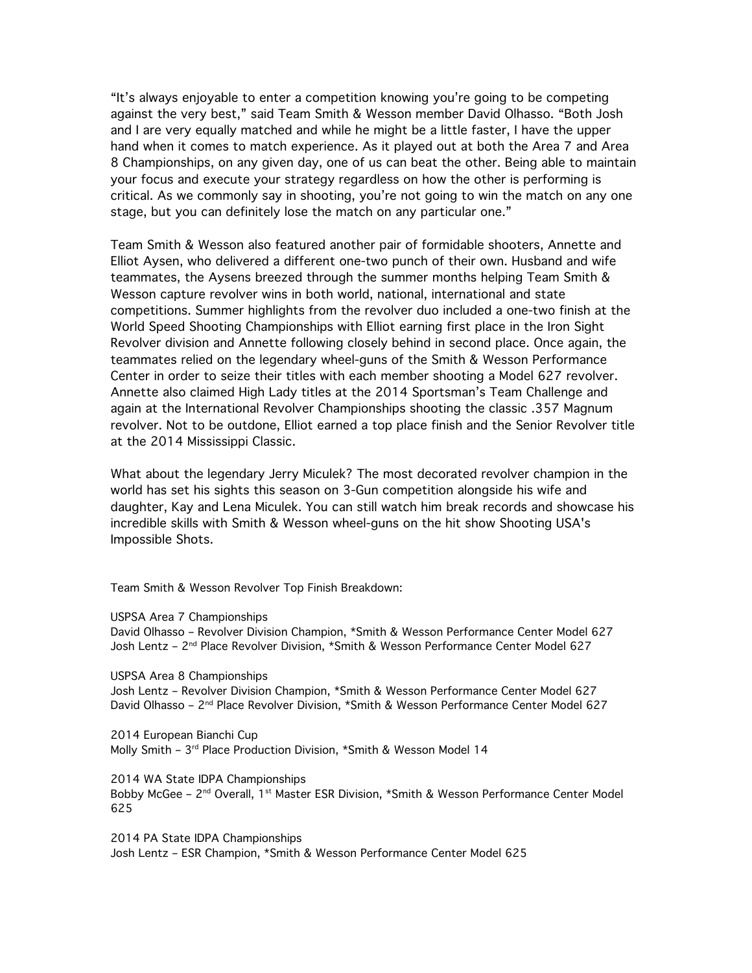"It's always enjoyable to enter a competition knowing you're going to be competing against the very best," said Team Smith & Wesson member David Olhasso. "Both Josh and I are very equally matched and while he might be a little faster, I have the upper hand when it comes to match experience. As it played out at both the Area 7 and Area 8 Championships, on any given day, one of us can beat the other. Being able to maintain your focus and execute your strategy regardless on how the other is performing is critical. As we commonly say in shooting, you're not going to win the match on any one stage, but you can definitely lose the match on any particular one."

Team Smith & Wesson also featured another pair of formidable shooters, Annette and Elliot Aysen, who delivered a different one-two punch of their own. Husband and wife teammates, the Aysens breezed through the summer months helping Team Smith & Wesson capture revolver wins in both world, national, international and state competitions. Summer highlights from the revolver duo included a one-two finish at the World Speed Shooting Championships with Elliot earning first place in the Iron Sight Revolver division and Annette following closely behind in second place. Once again, the teammates relied on the legendary wheel-guns of the Smith & Wesson Performance Center in order to seize their titles with each member shooting a Model 627 revolver. Annette also claimed High Lady titles at the 2014 Sportsman's Team Challenge and again at the International Revolver Championships shooting the classic .357 Magnum revolver. Not to be outdone, Elliot earned a top place finish and the Senior Revolver title at the 2014 Mississippi Classic.

What about the legendary Jerry Miculek? The most decorated revolver champion in the world has set his sights this season on 3-Gun competition alongside his wife and daughter, Kay and Lena Miculek. You can still watch him break records and showcase his incredible skills with Smith & Wesson wheel-guns on the hit show Shooting USA's Impossible Shots.

Team Smith & Wesson Revolver Top Finish Breakdown:

USPSA Area 7 Championships

David Olhasso – Revolver Division Champion, \*Smith & Wesson Performance Center Model 627 Josh Lentz – 2nd Place Revolver Division, \*Smith & Wesson Performance Center Model 627

USPSA Area 8 Championships

Josh Lentz – Revolver Division Champion, \*Smith & Wesson Performance Center Model 627 David Olhasso – 2nd Place Revolver Division, \*Smith & Wesson Performance Center Model 627

2014 European Bianchi Cup Molly Smith - 3<sup>rd</sup> Place Production Division, \*Smith & Wesson Model 14

2014 WA State IDPA Championships Bobby McGee –  $2^{nd}$  Overall, 1<sup>st</sup> Master ESR Division, \*Smith & Wesson Performance Center Model 625

2014 PA State IDPA Championships Josh Lentz – ESR Champion, \*Smith & Wesson Performance Center Model 625